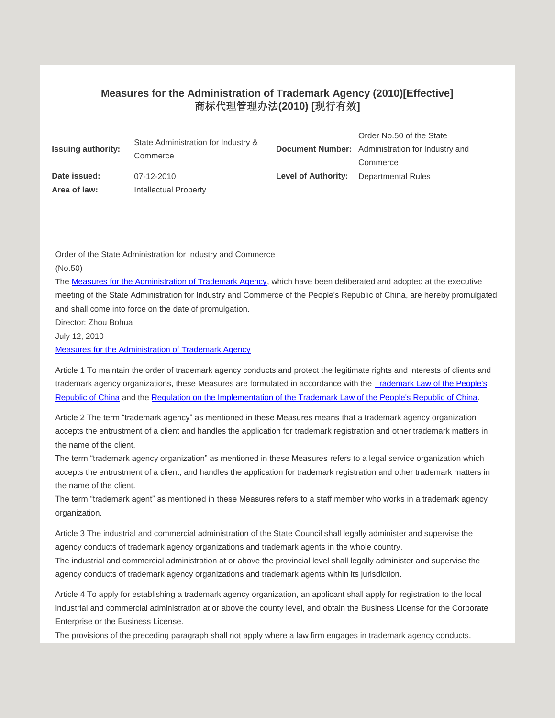## **Measures for the Administration of Trademark Agency (2010)[Effective]** 商标代理管理办法**(2010) [**现行有效**]**

| <b>Issuing authority:</b> | State Administration for Industry &<br>Commerce |                            | Order No.50 of the State<br><b>Document Number:</b> Administration for Industry and<br>Commerce |
|---------------------------|-------------------------------------------------|----------------------------|-------------------------------------------------------------------------------------------------|
| Date issued:              | 07-12-2010                                      | <b>Level of Authority:</b> | Departmental Rules                                                                              |
| Area of law:              | Intellectual Property                           |                            |                                                                                                 |

Order of the State Administration for Industry and Commerce (No.50)

The [Measures for the Administration of Trademark Agency,](javascript:ESLC(123375,0)) which have been deliberated and adopted at the executive meeting of the State Administration for Industry and Commerce of the People's Republic of China, are hereby promulgated and shall come into force on the date of promulgation.

Director: Zhou Bohua

July 12, 2010

[Measures for the Administration of Trademark Agency](javascript:ESLC(123375,0))

Article 1 To maintain the order of trademark agency conducts and protect the legitimate rights and interests of clients and trademark agency organizations, these Measures are formulated in accordance with the **Trademark Law of the People's** [Republic of China](javascript:ESLC(37085,0)) and the [Regulation on the Implementation of the Trademark Law of the People's Republic of China.](javascript:ESLC(40965,0))

Article 2 The term "trademark agency" as mentioned in these Measures means that a trademark agency organization accepts the entrustment of a client and handles the application for trademark registration and other trademark matters in the name of the client.

The term "trademark agency organization" as mentioned in these Measures refers to a legal service organization which accepts the entrustment of a client, and handles the application for trademark registration and other trademark matters in the name of the client.

The term "trademark agent" as mentioned in these Measures refers to a staff member who works in a trademark agency organization.

Article 3 The industrial and commercial administration of the State Council shall legally administer and supervise the agency conducts of trademark agency organizations and trademark agents in the whole country.

The industrial and commercial administration at or above the provincial level shall legally administer and supervise the agency conducts of trademark agency organizations and trademark agents within its jurisdiction.

Article 4 To apply for establishing a trademark agency organization, an applicant shall apply for registration to the local industrial and commercial administration at or above the county level, and obtain the Business License for the Corporate Enterprise or the Business License.

The provisions of the preceding paragraph shall not apply where a law firm engages in trademark agency conducts.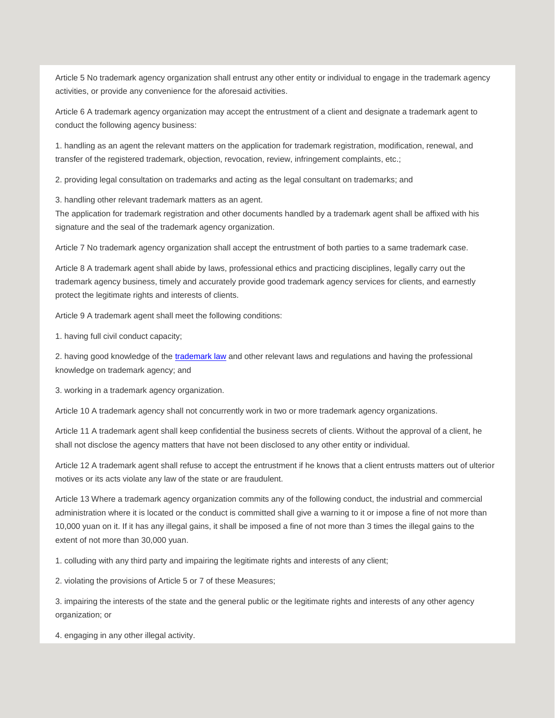Article 5 No trademark agency organization shall entrust any other entity or individual to engage in the trademark agency activities, or provide any convenience for the aforesaid activities.

Article 6 A trademark agency organization may accept the entrustment of a client and designate a trademark agent to conduct the following agency business:

1. handling as an agent the relevant matters on the application for trademark registration, modification, renewal, and transfer of the registered trademark, objection, revocation, review, infringement complaints, etc.;

2. providing legal consultation on trademarks and acting as the legal consultant on trademarks; and

3. handling other relevant trademark matters as an agent.

The application for trademark registration and other documents handled by a trademark agent shall be affixed with his signature and the seal of the trademark agency organization.

Article 7 No trademark agency organization shall accept the entrustment of both parties to a same trademark case.

Article 8 A trademark agent shall abide by laws, professional ethics and practicing disciplines, legally carry out the trademark agency business, timely and accurately provide good trademark agency services for clients, and earnestly protect the legitimate rights and interests of clients.

Article 9 A trademark agent shall meet the following conditions:

1. having full civil conduct capacity;

2. having good knowledge of the [trademark law](javascript:ESLC(37085,0)) and other relevant laws and regulations and having the professional knowledge on trademark agency; and

3. working in a trademark agency organization.

Article 10 A trademark agency shall not concurrently work in two or more trademark agency organizations.

Article 11 A trademark agent shall keep confidential the business secrets of clients. Without the approval of a client, he shall not disclose the agency matters that have not been disclosed to any other entity or individual.

Article 12 A trademark agent shall refuse to accept the entrustment if he knows that a client entrusts matters out of ulterior motives or its acts violate any law of the state or are fraudulent.

Article 13 Where a trademark agency organization commits any of the following conduct, the industrial and commercial administration where it is located or the conduct is committed shall give a warning to it or impose a fine of not more than 10,000 yuan on it. If it has any illegal gains, it shall be imposed a fine of not more than 3 times the illegal gains to the extent of not more than 30,000 yuan.

1. colluding with any third party and impairing the legitimate rights and interests of any client;

2. violating the provisions of Article 5 or 7 of these Measures;

3. impairing the interests of the state and the general public or the legitimate rights and interests of any other agency organization; or

4. engaging in any other illegal activity.